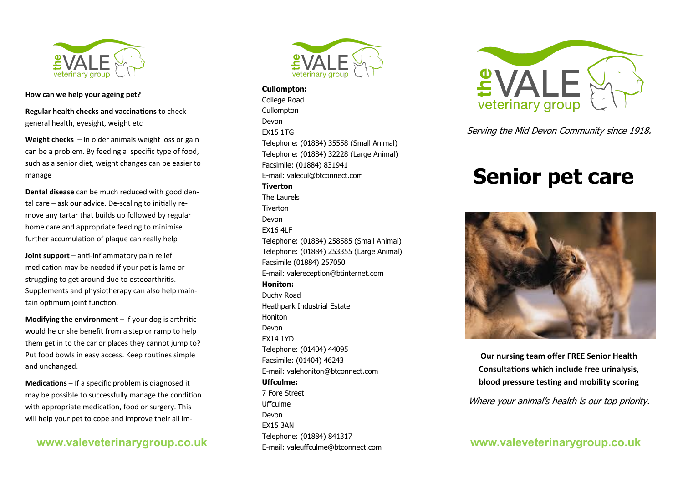

**How can we help your ageing pet?**

**Regular health checks and vaccinations** to check general health, eyesight, weight etc

**Weight checks** – In older animals weight loss or gain can be a problem. By feeding a specific type of food, such as a senior diet, weight changes can be easier to manage

**Dental disease** can be much reduced with good dental care – ask our advice. De-scaling to initially remove any tartar that builds up followed by regular home care and appropriate feeding to minimise further accumulation of plaque can really help

**Joint support** – anti-inflammatory pain relief medication may be needed if your pet is lame or struggling to get around due to osteoarthritis. Supplements and physiotherapy can also help maintain optimum joint function.

**Modifying the environment** – if your dog is arthritic would he or she benefit from a step or ramp to help them get in to the car or places they cannot jump to? Put food bowls in easy access. Keep routines simple and unchanged.

**Medications** – If a specific problem is diagnosed it may be possible to successfully manage the condition with appropriate medication, food or surgery. This will help your pet to cope and improve their all im-

# **www.valeveterinarygroup.co.uk**



**Cullompton:** College Road **Cullompton** Devon EX15 1TG Telephone: (01884) 35558 (Small Animal) Telephone: (01884) 32228 (Large Animal) Facsimile: (01884) 831941 E-mail: valecul@btconnect.com **Tiverton** The Laurels Tiverton Devon EX16 4LF Telephone: (01884) 258585 (Small Animal) Telephone: (01884) 253355 (Large Animal) Facsimile (01884) 257050 E-mail: valereception@btinternet.com **Honiton:** Duchy Road Heathpark Industrial Estate Honiton Devon EX14 1YD Telephone: (01404) 44095 Facsimile: (01404) 46243 E-mail: valehoniton@btconnect.com **Uffculme:** 7 Fore Street Uffculme Devon EX15 3AN Telephone: (01884) 841317 E-mail: valeuffculme@btconnect.com



Serving the Mid Devon Community since 1918.

# **Senior pet care**



**Our nursing team offer FREE Senior Health Consultations which include free urinalysis, blood pressure testing and mobility scoring**

Where your animal's health is our top priority.

**www.valeveterinarygroup.co.uk**